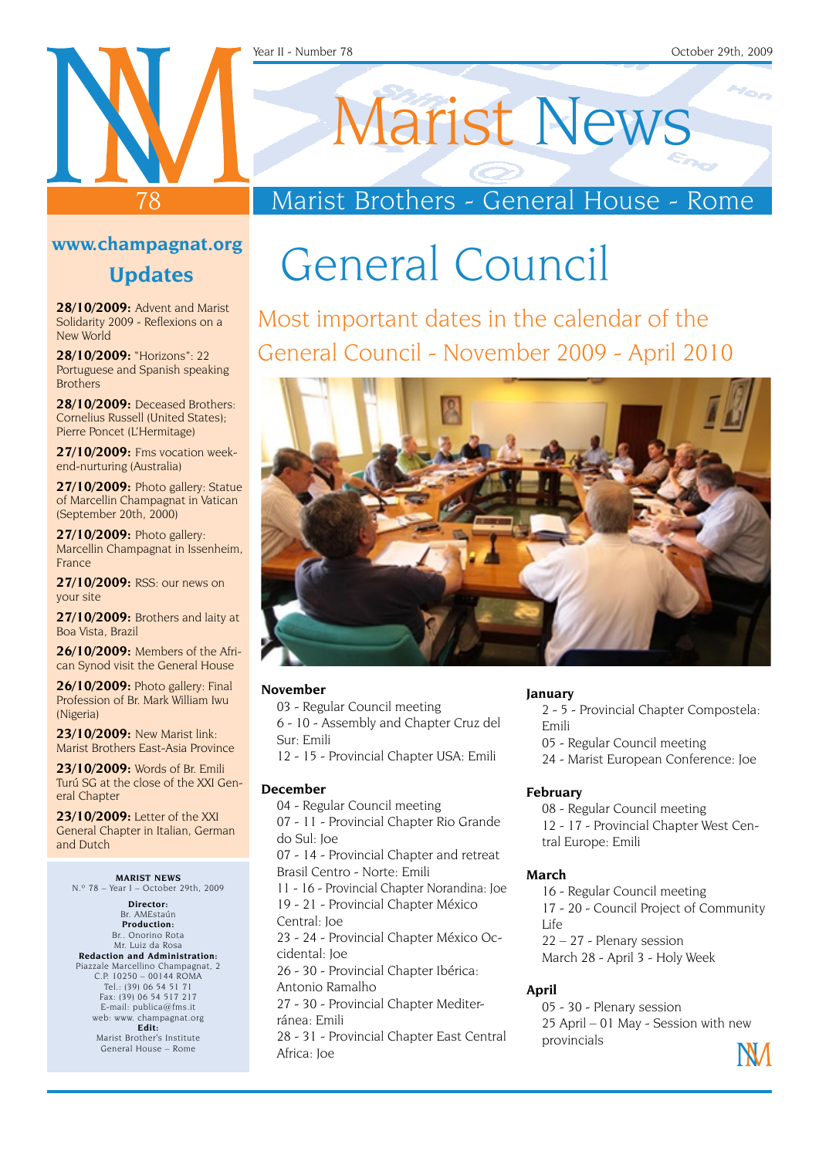#### Year II - Number 78 October 29th, 2009

#### **www.champagnat.org**

78

#### **Updates**

**28/10/2009:** Advent and Marist Solidarity 2009 - Reflexions on a New World

**28/10/2009:** "Horizons": 22 Portuguese and Spanish speaking **Brothers** 

**28/10/2009:** Deceased Brothers: Cornelius Russell (United States); Pierre Poncet (L'Hermitage)

**27/10/2009:** Fms vocation weekend-nurturing (Australia)

**27/10/2009:** Photo gallery: Statue of Marcellin Champagnat in Vatican (September 20th, 2000)

**27/10/2009:** Photo gallery: Marcellin Champagnat in Issenheim, France

**27/10/2009:** RSS: our news on your site

**27/10/2009:** Brothers and laity at Boa Vista, Brazil

**26/10/2009:** Members of the African Synod visit the General House

**26/10/2009:** Photo gallery: Final Profession of Br. Mark William Iwu (Nigeria)

**23/10/2009:** New Marist link: Marist Brothers East-Asia Province

**23/10/2009:** Words of Br. Emili Turú SG at the close of the XXI General Chapter

**23/10/2009:** Letter of the XXI General Chapter in Italian, German and Dutch

#### **MARIST NEWS**

N.º 78 – Year I – October 29th, 2009

**Director:** Br. AMEstaún **Production:** Br.. Onorino Rota Mr. Luiz da Rosa **Redaction and Administration:** Piazzale Marcellino Champagnat, 2 C.P. 10250 – 00144 ROMA Tel.: (39) 06 54 51 71 Fax: (39) 06 54 517 217 E-mail: publica@fms.it web: www. champagnat.org **Edit:** Marist Brother's Institute

General House – Rome

# Marist News

### Marist Brothers - General House - Rome

## General Council

Most important dates in the calendar of the General Council - November 2009 - April 2010



#### **November**

03 - Regular Council meeting

6 - 10 - Assembly and Chapter Cruz del Sur: Emili

12 - 15 - Provincial Chapter USA: Emili

#### **December**

04 - Regular Council meeting

07 - 11 - Provincial Chapter Rio Grande do Sul: Joe

07 - 14 - Provincial Chapter and retreat Brasil Centro - Norte: Emili

11 - 16 - Provincial Chapter Norandina: Joe 19 - 21 - Provincial Chapter México

Central: Joe

23 - 24 - Provincial Chapter México Occidental: Joe

26 - 30 - Provincial Chapter Ibérica: Antonio Ramalho

27 - 30 - Provincial Chapter Mediterránea: Emili

28 - 31 - Provincial Chapter East Central Africa: Joe

#### **January**

2 - 5 - Provincial Chapter Compostela: Emili

- 05 Regular Council meeting
- 24 Marist European Conference: Joe

#### **February**

08 - Regular Council meeting 12 - 17 - Provincial Chapter West Central Europe: Emili

#### **March**

16 - Regular Council meeting 17 - 20 - Council Project of Community  $I$  ife 22 – 27 - Plenary session March 28 - April 3 - Holy Week

#### **April**

05 - 30 - Plenary session 25 April – 01 May - Session with new provincials

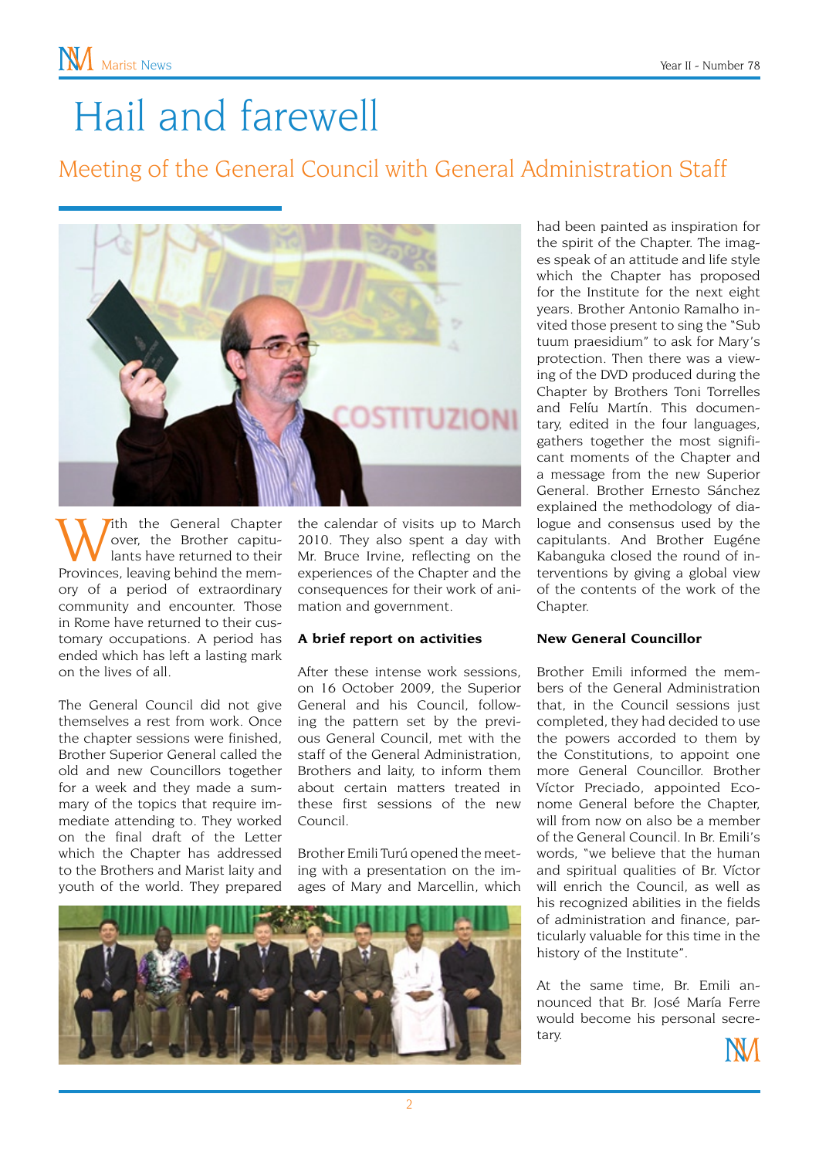## Hail and farewell

### Meeting of the General Council with General Administration Staff



With the General Chapter<br>
over, the Brother capitu-<br>
Provinces, leaving behind the memover, the Brother capitulants have returned to their ory of a period of extraordinary community and encounter. Those in Rome have returned to their customary occupations. A period has ended which has left a lasting mark on the lives of all.

The General Council did not give themselves a rest from work. Once the chapter sessions were finished, Brother Superior General called the old and new Councillors together for a week and they made a summary of the topics that require immediate attending to. They worked on the final draft of the Letter which the Chapter has addressed to the Brothers and Marist laity and youth of the world. They prepared

the calendar of visits up to March 2010. They also spent a day with Mr. Bruce Irvine, reflecting on the experiences of the Chapter and the consequences for their work of animation and government.

#### **A brief report on activities**

After these intense work sessions, on 16 October 2009, the Superior General and his Council, following the pattern set by the previous General Council, met with the staff of the General Administration, Brothers and laity, to inform them about certain matters treated in these first sessions of the new Council.

Brother Emili Turú opened the meeting with a presentation on the images of Mary and Marcellin, which



had been painted as inspiration for the spirit of the Chapter. The images speak of an attitude and life style which the Chapter has proposed for the Institute for the next eight years. Brother Antonio Ramalho invited those present to sing the "Sub tuum praesidium" to ask for Mary's protection. Then there was a viewing of the DVD produced during the Chapter by Brothers Toni Torrelles and Felíu Martín. This documentary, edited in the four languages, gathers together the most significant moments of the Chapter and a message from the new Superior General. Brother Ernesto Sánchez explained the methodology of dialogue and consensus used by the capitulants. And Brother Eugéne Kabanguka closed the round of interventions by giving a global view of the contents of the work of the Chapter.

#### **New General Councillor**

Brother Emili informed the members of the General Administration that, in the Council sessions just completed, they had decided to use the powers accorded to them by the Constitutions, to appoint one more General Councillor. Brother Víctor Preciado, appointed Econome General before the Chapter, will from now on also be a member of the General Council. In Br. Emili's words, "we believe that the human and spiritual qualities of Br. Víctor will enrich the Council, as well as his recognized abilities in the fields of administration and finance, particularly valuable for this time in the history of the Institute".

At the same time, Br. Emili announced that Br. José María Ferre would become his personal secretary.

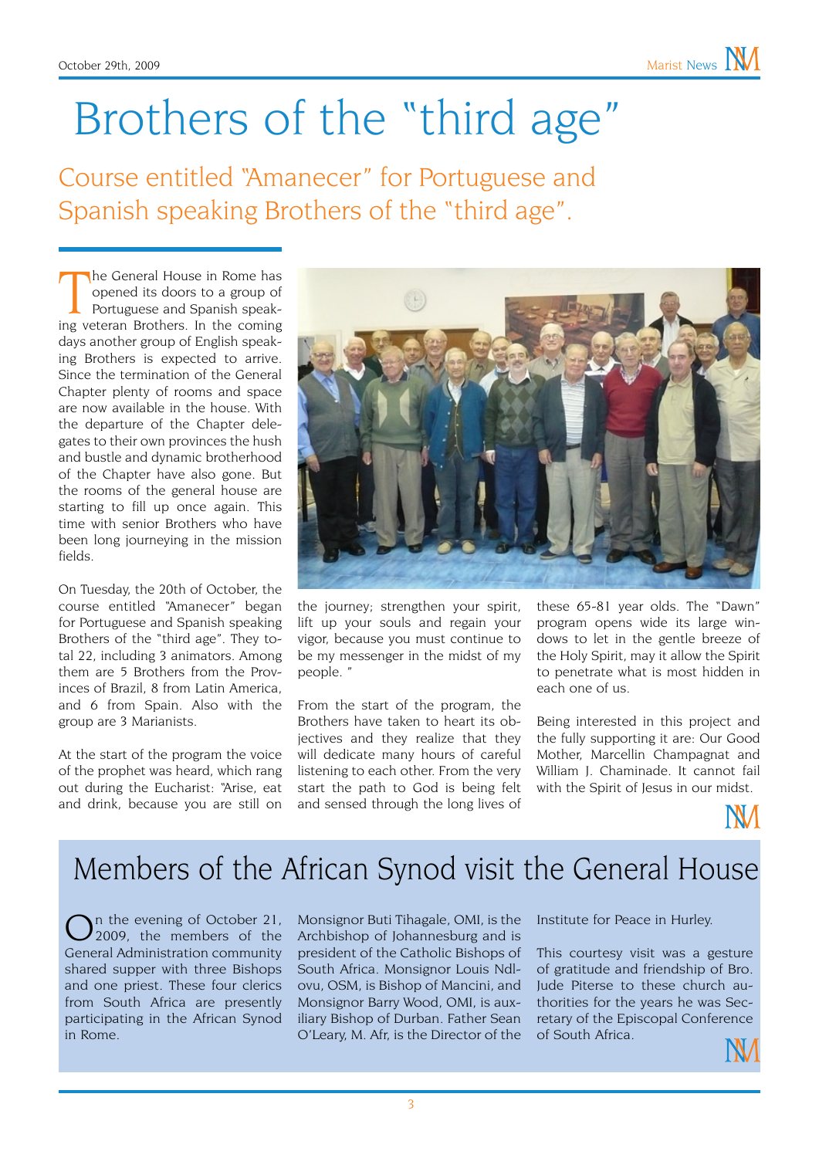## Brothers of the "third age"

Course entitled "Amanecer" for Portuguese and Spanish speaking Brothers of the "third age".

The General House in Rome has<br>
opened its doors to a group of<br>
Portuguese and Spanish speak-<br>
ing veteran Brothers. In the coming he General House in Rome has opened its doors to a group of Portuguese and Spanish speakdays another group of English speaking Brothers is expected to arrive. Since the termination of the General Chapter plenty of rooms and space are now available in the house. With the departure of the Chapter delegates to their own provinces the hush and bustle and dynamic brotherhood of the Chapter have also gone. But the rooms of the general house are starting to fill up once again. This time with senior Brothers who have been long journeying in the mission fields.

On Tuesday, the 20th of October, the course entitled "Amanecer" began for Portuguese and Spanish speaking Brothers of the "third age". They total 22, including 3 animators. Among them are 5 Brothers from the Provinces of Brazil, 8 from Latin America, and 6 from Spain. Also with the group are 3 Marianists.

At the start of the program the voice of the prophet was heard, which rang out during the Eucharist: "Arise, eat and drink, because you are still on



the journey; strengthen your spirit, lift up your souls and regain your vigor, because you must continue to be my messenger in the midst of my people. "

From the start of the program, the Brothers have taken to heart its objectives and they realize that they will dedicate many hours of careful listening to each other. From the very start the path to God is being felt and sensed through the long lives of

these 65-81 year olds. The "Dawn" program opens wide its large windows to let in the gentle breeze of the Holy Spirit, may it allow the Spirit to penetrate what is most hidden in each one of us.

Being interested in this project and the fully supporting it are: Our Good Mother, Marcellin Champagnat and William J. Chaminade. It cannot fail with the Spirit of Jesus in our midst.



### Members of the African Synod visit the General House

 $\sum_{n=1}^{\infty}$  and the evening of October 21, General Administration community shared supper with three Bishops and one priest. These four clerics from South Africa are presently participating in the African Synod in Rome.

Monsignor Buti Tihagale, OMI, is the Archbishop of Johannesburg and is president of the Catholic Bishops of South Africa. Monsignor Louis Ndlovu, OSM, is Bishop of Mancini, and Monsignor Barry Wood, OMI, is auxiliary Bishop of Durban. Father Sean O'Leary, M. Afr, is the Director of the

Institute for Peace in Hurley.

This courtesy visit was a gesture of gratitude and friendship of Bro. Jude Piterse to these church authorities for the years he was Secretary of the Episcopal Conference of South Africa.